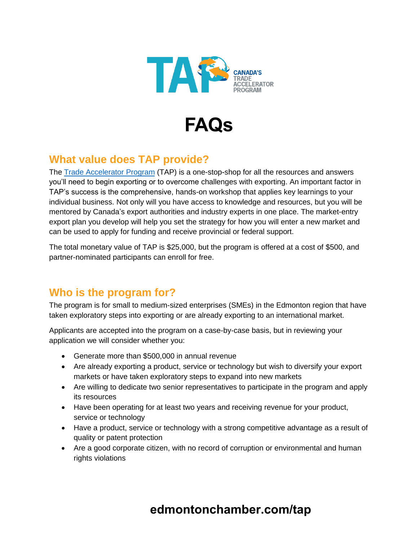



## **What value does TAP provide?**

The [Trade Accelerator Program](https://www.investedmontonregion.com/export/tap-export-course/) (TAP) is a one-stop-shop for all the resources and answers you'll need to begin exporting or to overcome challenges with exporting. An important factor in TAP's success is the comprehensive, hands-on workshop that applies key learnings to your individual business. Not only will you have access to knowledge and resources, but you will be mentored by Canada's export authorities and industry experts in one place. The market-entry export plan you develop will help you set the strategy for how you will enter a new market and can be used to apply for funding and receive provincial or federal support.

The total monetary value of TAP is \$25,000, but the program is offered at a cost of \$500, and partner-nominated participants can enroll for free.

#### **Who is the program for?**

The program is for small to medium-sized enterprises (SMEs) in the Edmonton region that have taken exploratory steps into exporting or are already exporting to an international market.

Applicants are accepted into the program on a case-by-case basis, but in reviewing your application we will consider whether you:

- Generate more than \$500,000 in annual revenue
- Are already exporting a product, service or technology but wish to diversify your export markets or have taken exploratory steps to expand into new markets
- Are willing to dedicate two senior representatives to participate in the program and apply its resources
- Have been operating for at least two years and receiving revenue for your product, service or technology
- Have a product, service or technology with a strong competitive advantage as a result of quality or patent protection
- Are a good corporate citizen, with no record of corruption or environmental and human rights violations

## **edmontonchamber.com/tap**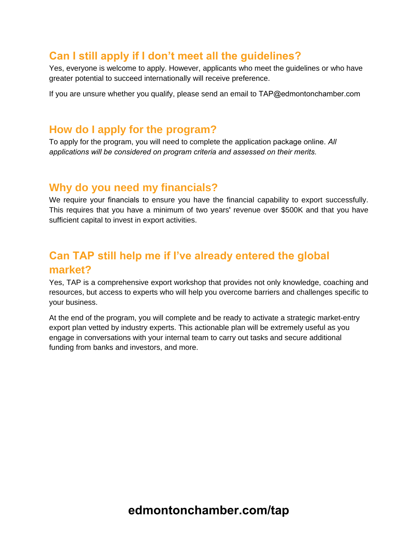#### **Can I still apply if I don't meet all the guidelines?**

Yes, everyone is welcome to apply. However, applicants who meet the guidelines or who have greater potential to succeed internationally will receive preference.

If you are unsure whether you qualify, please send an email to TAP@edmontonchamber.com

#### **How do I apply for the program?**

To apply for the program, you will need to complete the application package online. *All [applications will be considered o](mailto:tapapplication@edmonton.com)n program criteria and assessed on their merits.*

#### **Why do you need my financials?**

We require your financials to ensure you have the financial capability to export successfully. This requires that you have a minimum of two years' revenue over \$500K and that you have sufficient capital to invest in export activities.

## **Can TAP still help me if I've already entered the global market?**

Yes, TAP is a comprehensive export workshop that provides not only knowledge, coaching and resources, but access to experts who will help you overcome barriers and challenges specific to your business.

At the end of the program, you will complete and be ready to activate a strategic market-entry export plan vetted by industry experts. This actionable plan will be extremely useful as you engage in conversations with your internal team to carry out tasks and secure additional funding from banks and investors, and more.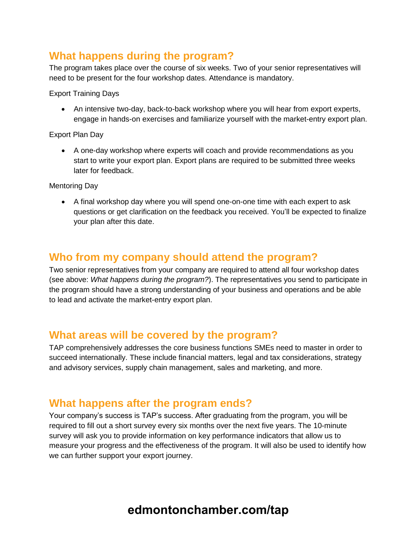#### **What happens during the program?**

The program takes place over the course of six weeks. Two of your senior representatives will need to be present for the four workshop dates. Attendance is mandatory.

Export Training Days

• An intensive two-day, back-to-back workshop where you will hear from export experts, engage in hands-on exercises and familiarize yourself with the market-entry export plan.

Export Plan Day

• A one-day workshop where experts will coach and provide recommendations as you start to write your export plan. Export plans are required to be submitted three weeks later for feedback.

Mentoring Day

• A final workshop day where you will spend one-on-one time with each expert to ask questions or get clarification on the feedback you received. You'll be expected to finalize your plan after this date.

#### **Who from my company should attend the program?**

Two senior representatives from your company are required to attend all four workshop dates (see above: *What happens during the program?*). The representatives you send to participate in the program should have a strong understanding of your business and operations and be able to lead and activate the market-entry export plan.

#### **What areas will be covered by the program?**

TAP comprehensively addresses the core business functions SMEs need to master in order to succeed internationally. These include financial matters, legal and tax considerations, strategy and advisory services, supply chain management, sales and marketing, and more.

#### **What happens after the program ends?**

Your company's success is TAP's success. After graduating from the program, you will be required to fill out a short survey every six months over the next five years. The 10-minute survey will ask you to provide information on key performance indicators that allow us to measure your progress and the effectiveness of the program. It will also be used to identify how we can further support your export journey.

# **edmontonchamber.com/tap**